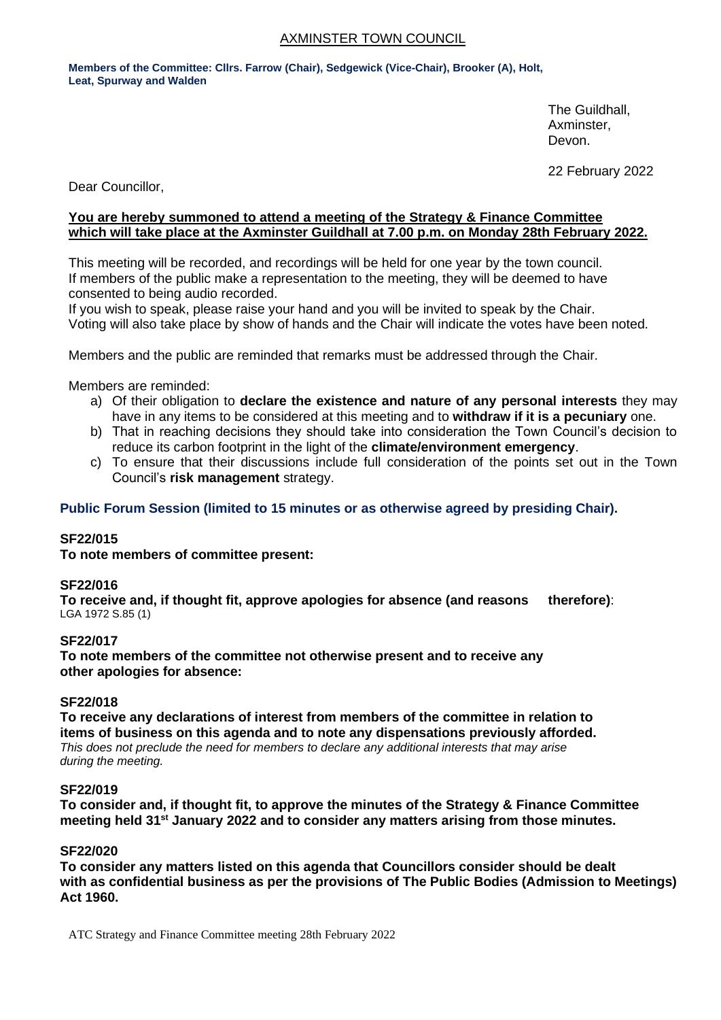## AXMINSTER TOWN COUNCIL

**Members of the Committee: Cllrs. Farrow (Chair), Sedgewick (Vice-Chair), Brooker (A), Holt, Leat, Spurway and Walden**

> The Guildhall, Axminster, Devon.

22 February 2022

Dear Councillor,

### **You are hereby summoned to attend a meeting of the Strategy & Finance Committee which will take place at the Axminster Guildhall at 7.00 p.m. on Monday 28th February 2022.**

This meeting will be recorded, and recordings will be held for one year by the town council. If members of the public make a representation to the meeting, they will be deemed to have consented to being audio recorded.

If you wish to speak, please raise your hand and you will be invited to speak by the Chair. Voting will also take place by show of hands and the Chair will indicate the votes have been noted.

Members and the public are reminded that remarks must be addressed through the Chair.

Members are reminded:

- a) Of their obligation to **declare the existence and nature of any personal interests** they may have in any items to be considered at this meeting and to **withdraw if it is a pecuniary** one.
- b) That in reaching decisions they should take into consideration the Town Council's decision to reduce its carbon footprint in the light of the **climate/environment emergency**.
- c) To ensure that their discussions include full consideration of the points set out in the Town Council's **risk management** strategy.

## **Public Forum Session (limited to 15 minutes or as otherwise agreed by presiding Chair).**

### **SF22/015**

**To note members of committee present:**

#### **SF22/016**

**To receive and, if thought fit, approve apologies for absence (and reasons therefore)**: LGA 1972 S.85 (1)

#### **SF22/017**

**To note members of the committee not otherwise present and to receive any other apologies for absence:**

#### **SF22/018**

**To receive any declarations of interest from members of the committee in relation to items of business on this agenda and to note any dispensations previously afforded.**  *This does not preclude the need for members to declare any additional interests that may arise during the meeting.*

#### **SF22/019**

**To consider and, if thought fit, to approve the minutes of the Strategy & Finance Committee meeting held 31st January 2022 and to consider any matters arising from those minutes.**

#### **SF22/020**

**To consider any matters listed on this agenda that Councillors consider should be dealt with as confidential business as per the provisions of The Public Bodies (Admission to Meetings) Act 1960.**

ATC Strategy and Finance Committee meeting 28th February 2022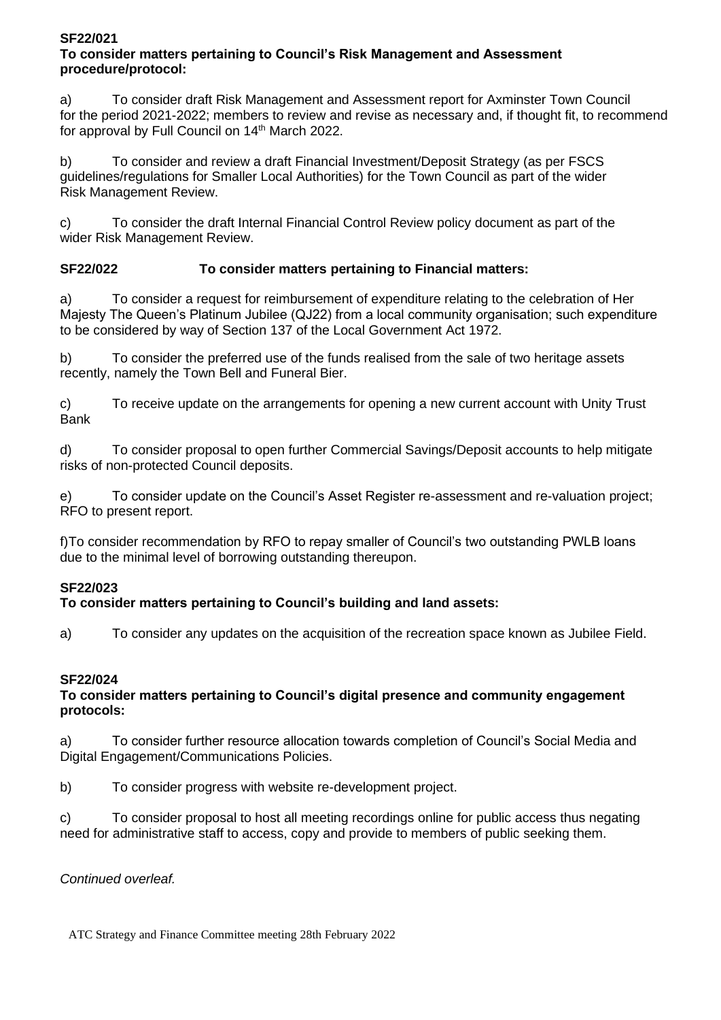### **SF22/021 To consider matters pertaining to Council's Risk Management and Assessment procedure/protocol:**

a) To consider draft Risk Management and Assessment report for Axminster Town Council for the period 2021-2022; members to review and revise as necessary and, if thought fit, to recommend for approval by Full Council on 14<sup>th</sup> March 2022.

b) To consider and review a draft Financial Investment/Deposit Strategy (as per FSCS guidelines/regulations for Smaller Local Authorities) for the Town Council as part of the wider Risk Management Review.

c) To consider the draft Internal Financial Control Review policy document as part of the wider Risk Management Review.

# **SF22/022 To consider matters pertaining to Financial matters:**

a) To consider a request for reimbursement of expenditure relating to the celebration of Her Majesty The Queen's Platinum Jubilee (QJ22) from a local community organisation; such expenditure to be considered by way of Section 137 of the Local Government Act 1972.

b) To consider the preferred use of the funds realised from the sale of two heritage assets recently, namely the Town Bell and Funeral Bier.

c) To receive update on the arrangements for opening a new current account with Unity Trust Bank

d) To consider proposal to open further Commercial Savings/Deposit accounts to help mitigate risks of non-protected Council deposits.

e) To consider update on the Council's Asset Register re-assessment and re-valuation project; RFO to present report.

f)To consider recommendation by RFO to repay smaller of Council's two outstanding PWLB loans due to the minimal level of borrowing outstanding thereupon.

# **SF22/023**

# **To consider matters pertaining to Council's building and land assets:**

a) To consider any updates on the acquisition of the recreation space known as Jubilee Field.

# **SF22/024**

## **To consider matters pertaining to Council's digital presence and community engagement protocols:**

a) To consider further resource allocation towards completion of Council's Social Media and Digital Engagement/Communications Policies.

b) To consider progress with website re-development project.

c) To consider proposal to host all meeting recordings online for public access thus negating need for administrative staff to access, copy and provide to members of public seeking them.

*Continued overleaf.*

ATC Strategy and Finance Committee meeting 28th February 2022